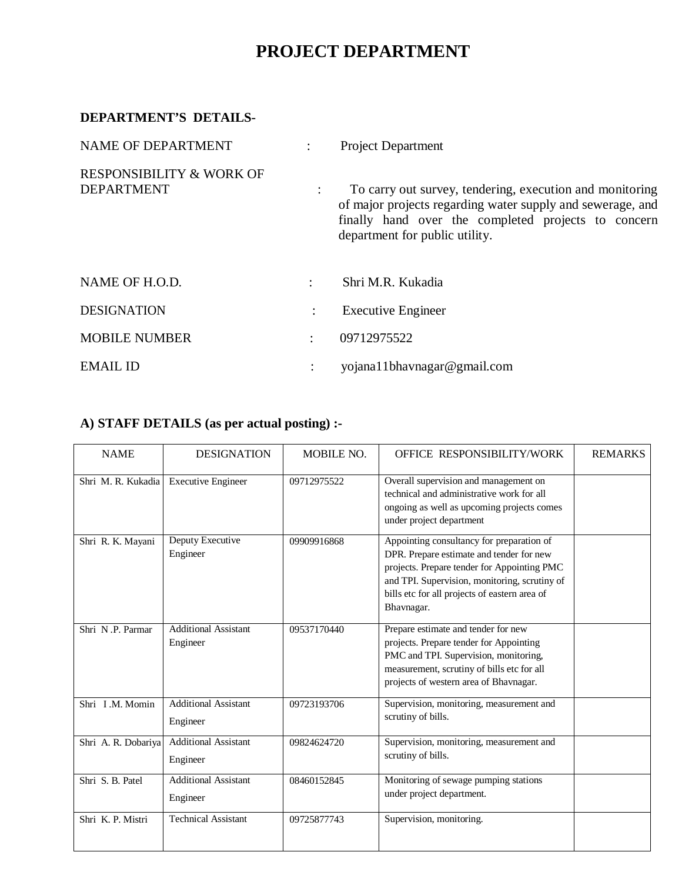## **PROJECT DEPARTMENT**

## **DEPARTMENT'S DETAILS-**

| NAME OF DEPARTMENT                                       |   | <b>Project Department</b>                                                                                                                                                                                       |  |  |
|----------------------------------------------------------|---|-----------------------------------------------------------------------------------------------------------------------------------------------------------------------------------------------------------------|--|--|
| <b>RESPONSIBILITY &amp; WORK OF</b><br><b>DEPARTMENT</b> |   | To carry out survey, tendering, execution and monitoring<br>of major projects regarding water supply and sewerage, and<br>finally hand over the completed projects to concern<br>department for public utility. |  |  |
| NAME OF H.O.D.                                           | ٠ | Shri M.R. Kukadia                                                                                                                                                                                               |  |  |
| <b>DESIGNATION</b>                                       | ÷ | <b>Executive Engineer</b>                                                                                                                                                                                       |  |  |
| <b>MOBILE NUMBER</b>                                     | ÷ | 09712975522                                                                                                                                                                                                     |  |  |
| <b>EMAIL ID</b>                                          |   | yojana11bhavnagar@gmail.com                                                                                                                                                                                     |  |  |

## **A) STAFF DETAILS (as per actual posting) :-**

| <b>NAME</b>         | <b>DESIGNATION</b>                      | MOBILE NO.  | OFFICE RESPONSIBILITY/WORK                                                                                                                                                                                                                           | <b>REMARKS</b> |
|---------------------|-----------------------------------------|-------------|------------------------------------------------------------------------------------------------------------------------------------------------------------------------------------------------------------------------------------------------------|----------------|
| Shri M. R. Kukadia  | <b>Executive Engineer</b>               | 09712975522 | Overall supervision and management on<br>technical and administrative work for all<br>ongoing as well as upcoming projects comes<br>under project department                                                                                         |                |
| Shri R. K. Mayani   | Deputy Executive<br>Engineer            | 09909916868 | Appointing consultancy for preparation of<br>DPR. Prepare estimate and tender for new<br>projects. Prepare tender for Appointing PMC<br>and TPI. Supervision, monitoring, scrutiny of<br>bills etc for all projects of eastern area of<br>Bhavnagar. |                |
| Shri N.P. Parmar    | <b>Additional Assistant</b><br>Engineer | 09537170440 | Prepare estimate and tender for new<br>projects. Prepare tender for Appointing<br>PMC and TPI. Supervision, monitoring,<br>measurement, scrutiny of bills etc for all<br>projects of western area of Bhavnagar.                                      |                |
| Shri I.M. Momin     | <b>Additional Assistant</b><br>Engineer | 09723193706 | Supervision, monitoring, measurement and<br>scrutiny of bills.                                                                                                                                                                                       |                |
| Shri A. R. Dobariya | <b>Additional Assistant</b><br>Engineer | 09824624720 | Supervision, monitoring, measurement and<br>scrutiny of bills.                                                                                                                                                                                       |                |
| Shri S. B. Patel    | <b>Additional Assistant</b><br>Engineer | 08460152845 | Monitoring of sewage pumping stations<br>under project department.                                                                                                                                                                                   |                |
| Shri K. P. Mistri   | <b>Technical Assistant</b>              | 09725877743 | Supervision, monitoring.                                                                                                                                                                                                                             |                |